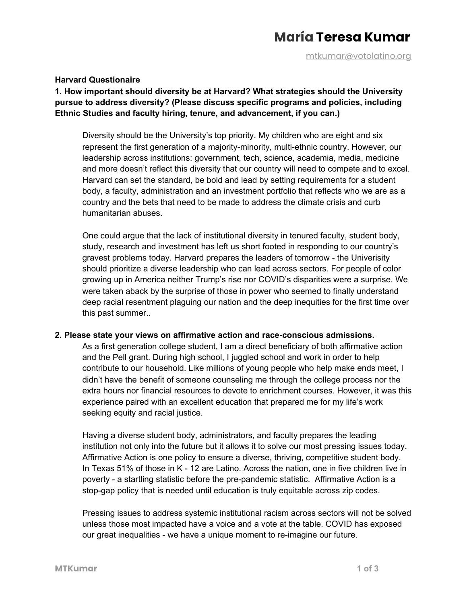# **María Teresa Kumar**

[mtkumar@votolatino.org](mailto:mtkumar@votolatino.org)

#### **Harvard Questionaire**

**1. How important should diversity be at Harvard? What strategies should the University pursue to address diversity? (Please discuss specific programs and policies, including Ethnic Studies and faculty hiring, tenure, and advancement, if you can.)**

Diversity should be the University's top priority. My children who are eight and six represent the first generation of a majority-minority, multi-ethnic country. However, our leadership across institutions: government, tech, science, academia, media, medicine and more doesn't reflect this diversity that our country will need to compete and to excel. Harvard can set the standard, be bold and lead by setting requirements for a student body, a faculty, administration and an investment portfolio that reflects who we are as a country and the bets that need to be made to address the climate crisis and curb humanitarian abuses.

One could argue that the lack of institutional diversity in tenured faculty, student body, study, research and investment has left us short footed in responding to our country's gravest problems today. Harvard prepares the leaders of tomorrow - the Univerisity should prioritize a diverse leadership who can lead across sectors. For people of color growing up in America neither Trump's rise nor COVID's disparities were a surprise. We were taken aback by the surprise of those in power who seemed to finally understand deep racial resentment plaguing our nation and the deep inequities for the first time over this past summer..

#### **2. Please state your views on affirmative action and race-conscious admissions.**

As a first generation college student, I am a direct beneficiary of both affirmative action and the Pell grant. During high school, I juggled school and work in order to help contribute to our household. Like millions of young people who help make ends meet, I didn't have the benefit of someone counseling me through the college process nor the extra hours nor financial resources to devote to enrichment courses. However, it was this experience paired with an excellent education that prepared me for my life's work seeking equity and racial justice.

Having a diverse student body, administrators, and faculty prepares the leading institution not only into the future but it allows it to solve our most pressing issues today. Affirmative Action is one policy to ensure a diverse, thriving, competitive student body. In Texas 51% of those in K - 12 are Latino. Across the nation, one in five children live in poverty - a startling statistic before the pre-pandemic statistic. Affirmative Action is a stop-gap policy that is needed until education is truly equitable across zip codes.

Pressing issues to address systemic institutional racism across sectors will not be solved unless those most impacted have a voice and a vote at the table. COVID has exposed our great inequalities - we have a unique moment to re-imagine our future.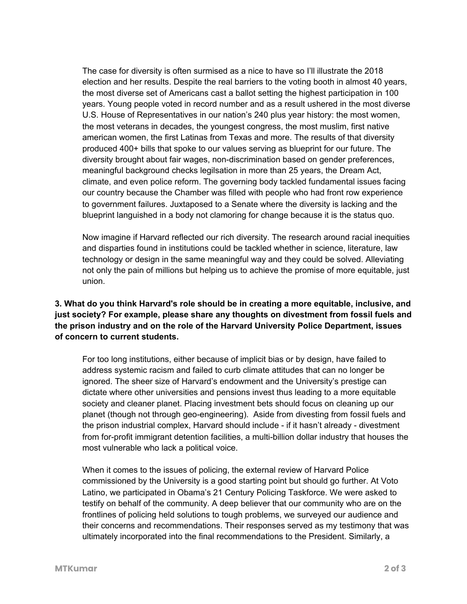The case for diversity is often surmised as a nice to have so I'll illustrate the 2018 election and her results. Despite the real barriers to the voting booth in almost 40 years, the most diverse set of Americans cast a ballot setting the highest participation in 100 years. Young people voted in record number and as a result ushered in the most diverse U.S. House of Representatives in our nation's 240 plus year history: the most women, the most veterans in decades, the youngest congress, the most muslim, first native american women, the first Latinas from Texas and more. The results of that diversity produced 400+ bills that spoke to our values serving as blueprint for our future. The diversity brought about fair wages, non-discrimination based on gender preferences, meaningful background checks legilsation in more than 25 years, the Dream Act, climate, and even police reform. The governing body tackled fundamental issues facing our country because the Chamber was filled with people who had front row experience to government failures. Juxtaposed to a Senate where the diversity is lacking and the blueprint languished in a body not clamoring for change because it is the status quo.

Now imagine if Harvard reflected our rich diversity. The research around racial inequities and disparties found in institutions could be tackled whether in science, literature, law technology or design in the same meaningful way and they could be solved. Alleviating not only the pain of millions but helping us to achieve the promise of more equitable, just union.

## **3. What do you think Harvard's role should be in creating a more equitable, inclusive, and just society? For example, please share any thoughts on divestment from fossil fuels and the prison industry and on the role of the Harvard University Police Department, issues of concern to current students.**

For too long institutions, either because of implicit bias or by design, have failed to address systemic racism and failed to curb climate attitudes that can no longer be ignored. The sheer size of Harvard's endowment and the University's prestige can dictate where other universities and pensions invest thus leading to a more equitable society and cleaner planet. Placing investment bets should focus on cleaning up our planet (though not through geo-engineering). Aside from divesting from fossil fuels and the prison industrial complex, Harvard should include - if it hasn't already - divestment from for-profit immigrant detention facilities, a multi-billion dollar industry that houses the most vulnerable who lack a political voice.

When it comes to the issues of policing, the external review of Harvard Police commissioned by the University is a good starting point but should go further. At Voto Latino, we participated in Obama's 21 Century Policing Taskforce. We were asked to testify on behalf of the community. A deep believer that our community who are on the frontlines of policing held solutions to tough problems, we surveyed our audience and their concerns and recommendations. Their responses served as my testimony that was ultimately incorporated into the final recommendations to the President. Similarly, a